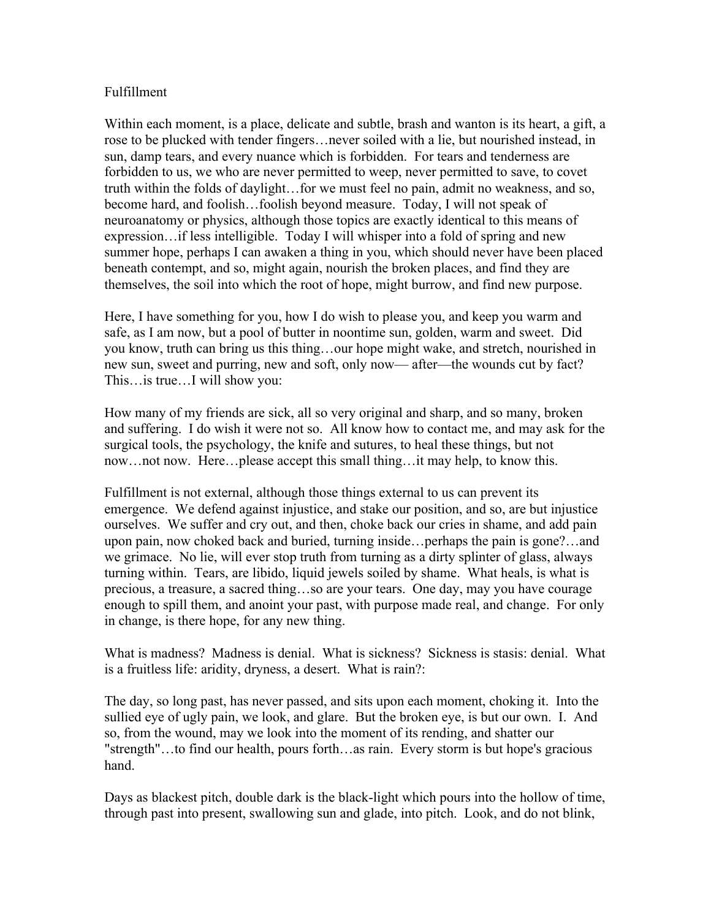## Fulfillment

Within each moment, is a place, delicate and subtle, brash and wanton is its heart, a gift, a rose to be plucked with tender fingers…never soiled with a lie, but nourished instead, in sun, damp tears, and every nuance which is forbidden. For tears and tenderness are forbidden to us, we who are never permitted to weep, never permitted to save, to covet truth within the folds of daylight…for we must feel no pain, admit no weakness, and so, become hard, and foolish…foolish beyond measure. Today, I will not speak of neuroanatomy or physics, although those topics are exactly identical to this means of expression…if less intelligible. Today I will whisper into a fold of spring and new summer hope, perhaps I can awaken a thing in you, which should never have been placed beneath contempt, and so, might again, nourish the broken places, and find they are themselves, the soil into which the root of hope, might burrow, and find new purpose.

Here, I have something for you, how I do wish to please you, and keep you warm and safe, as I am now, but a pool of butter in noontime sun, golden, warm and sweet. Did you know, truth can bring us this thing…our hope might wake, and stretch, nourished in new sun, sweet and purring, new and soft, only now—after—the wounds cut by fact? This…is true…I will show you:

How many of my friends are sick, all so very original and sharp, and so many, broken and suffering. I do wish it were not so. All know how to contact me, and may ask for the surgical tools, the psychology, the knife and sutures, to heal these things, but not now…not now. Here…please accept this small thing…it may help, to know this.

Fulfillment is not external, although those things external to us can prevent its emergence. We defend against injustice, and stake our position, and so, are but injustice ourselves. We suffer and cry out, and then, choke back our cries in shame, and add pain upon pain, now choked back and buried, turning inside…perhaps the pain is gone?…and we grimace. No lie, will ever stop truth from turning as a dirty splinter of glass, always turning within. Tears, are libido, liquid jewels soiled by shame. What heals, is what is precious, a treasure, a sacred thing…so are your tears. One day, may you have courage enough to spill them, and anoint your past, with purpose made real, and change. For only in change, is there hope, for any new thing.

What is madness? Madness is denial. What is sickness? Sickness is stasis: denial. What is a fruitless life: aridity, dryness, a desert. What is rain?:

The day, so long past, has never passed, and sits upon each moment, choking it. Into the sullied eye of ugly pain, we look, and glare. But the broken eye, is but our own. I. And so, from the wound, may we look into the moment of its rending, and shatter our "strength"…to find our health, pours forth…as rain. Every storm is but hope's gracious hand.

Days as blackest pitch, double dark is the black-light which pours into the hollow of time, through past into present, swallowing sun and glade, into pitch. Look, and do not blink,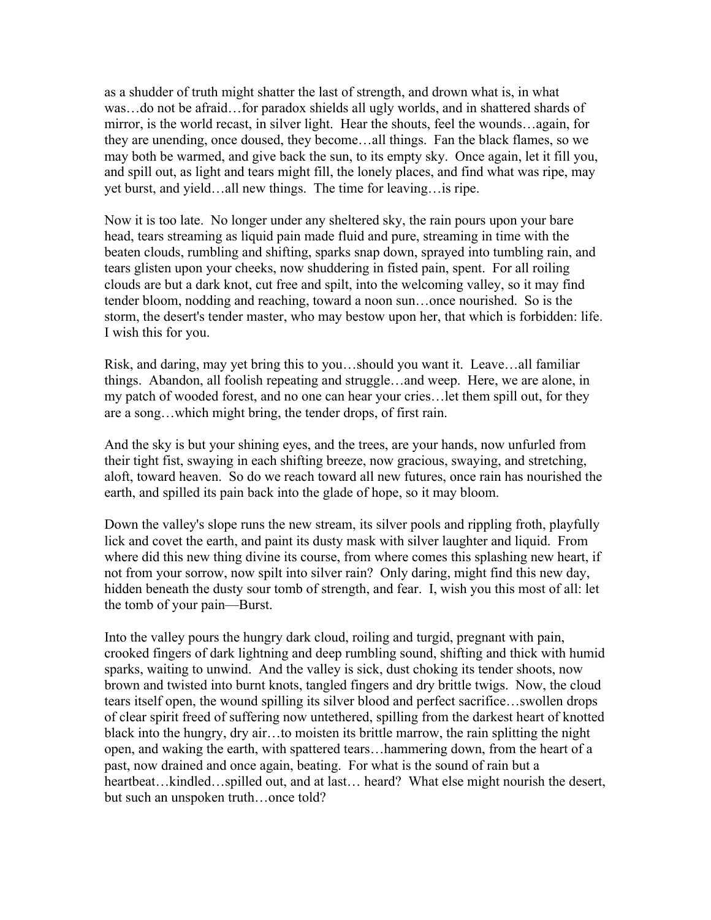as a shudder of truth might shatter the last of strength, and drown what is, in what was…do not be afraid…for paradox shields all ugly worlds, and in shattered shards of mirror, is the world recast, in silver light. Hear the shouts, feel the wounds…again, for they are unending, once doused, they become…all things. Fan the black flames, so we may both be warmed, and give back the sun, to its empty sky. Once again, let it fill you, and spill out, as light and tears might fill, the lonely places, and find what was ripe, may yet burst, and yield…all new things. The time for leaving…is ripe.

Now it is too late. No longer under any sheltered sky, the rain pours upon your bare head, tears streaming as liquid pain made fluid and pure, streaming in time with the beaten clouds, rumbling and shifting, sparks snap down, sprayed into tumbling rain, and tears glisten upon your cheeks, now shuddering in fisted pain, spent. For all roiling clouds are but a dark knot, cut free and spilt, into the welcoming valley, so it may find tender bloom, nodding and reaching, toward a noon sun…once nourished. So is the storm, the desert's tender master, who may bestow upon her, that which is forbidden: life. I wish this for you.

Risk, and daring, may yet bring this to you…should you want it. Leave…all familiar things. Abandon, all foolish repeating and struggle…and weep. Here, we are alone, in my patch of wooded forest, and no one can hear your cries…let them spill out, for they are a song…which might bring, the tender drops, of first rain.

And the sky is but your shining eyes, and the trees, are your hands, now unfurled from their tight fist, swaying in each shifting breeze, now gracious, swaying, and stretching, aloft, toward heaven. So do we reach toward all new futures, once rain has nourished the earth, and spilled its pain back into the glade of hope, so it may bloom.

Down the valley's slope runs the new stream, its silver pools and rippling froth, playfully lick and covet the earth, and paint its dusty mask with silver laughter and liquid. From where did this new thing divine its course, from where comes this splashing new heart, if not from your sorrow, now spilt into silver rain? Only daring, might find this new day, hidden beneath the dusty sour tomb of strength, and fear. I, wish you this most of all: let the tomb of your pain––Burst.

Into the valley pours the hungry dark cloud, roiling and turgid, pregnant with pain, crooked fingers of dark lightning and deep rumbling sound, shifting and thick with humid sparks, waiting to unwind. And the valley is sick, dust choking its tender shoots, now brown and twisted into burnt knots, tangled fingers and dry brittle twigs. Now, the cloud tears itself open, the wound spilling its silver blood and perfect sacrifice…swollen drops of clear spirit freed of suffering now untethered, spilling from the darkest heart of knotted black into the hungry, dry air…to moisten its brittle marrow, the rain splitting the night open, and waking the earth, with spattered tears…hammering down, from the heart of a past, now drained and once again, beating. For what is the sound of rain but a heartbeat...kindled...spilled out, and at last... heard? What else might nourish the desert, but such an unspoken truth...once told?